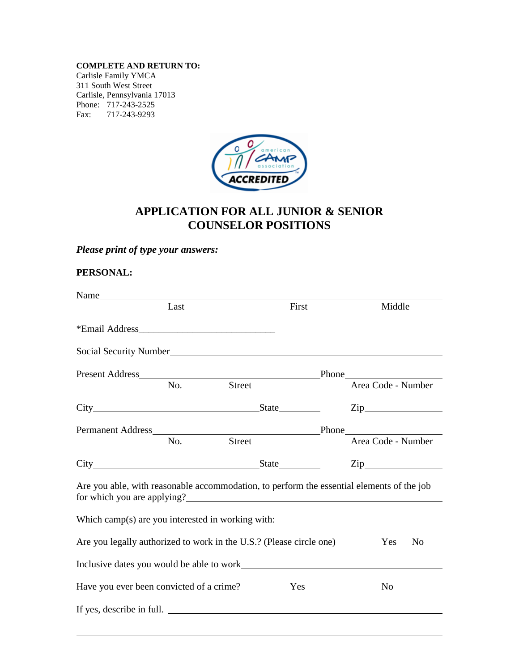**COMPLETE AND RETURN TO:**

Carlisle Family YMCA 311 South West Street Carlisle, Pennsylvania 17013 Phone: 717-243-2525 Fax: 717-243-9293



# **APPLICATION FOR ALL JUNIOR & SENIOR COUNSELOR POSITIONS**

## *Please print of type your answers:*

### **PERSONAL:**

|                                                                                                                          | Last |        | First | Middle                                                          |
|--------------------------------------------------------------------------------------------------------------------------|------|--------|-------|-----------------------------------------------------------------|
|                                                                                                                          |      |        |       |                                                                 |
| Social Security Number<br><u>Social Security Number</u>                                                                  |      |        |       |                                                                 |
|                                                                                                                          |      |        |       |                                                                 |
|                                                                                                                          | No.  | Street |       | Area Code - Number                                              |
|                                                                                                                          |      |        |       | $\mathsf{Zip}\_$                                                |
|                                                                                                                          |      |        |       |                                                                 |
|                                                                                                                          | No.  | Street |       | Area Code - Number                                              |
| City State State                                                                                                         |      |        |       | $\mathsf{Zip}\qquad \qquad \qquad$                              |
| Are you able, with reasonable accommodation, to perform the essential elements of the job<br>for which you are applying? |      |        |       |                                                                 |
|                                                                                                                          |      |        |       | Which camp(s) are you interested in working with: $\frac{1}{2}$ |
| Are you legally authorized to work in the U.S.? (Please circle one)                                                      |      |        |       | Yes<br>No                                                       |
| Inclusive dates you would be able to work                                                                                |      |        |       |                                                                 |
| Have you ever been convicted of a crime?                                                                                 |      |        | Yes   | N <sub>o</sub>                                                  |
| If yes, describe in full.                                                                                                |      |        |       |                                                                 |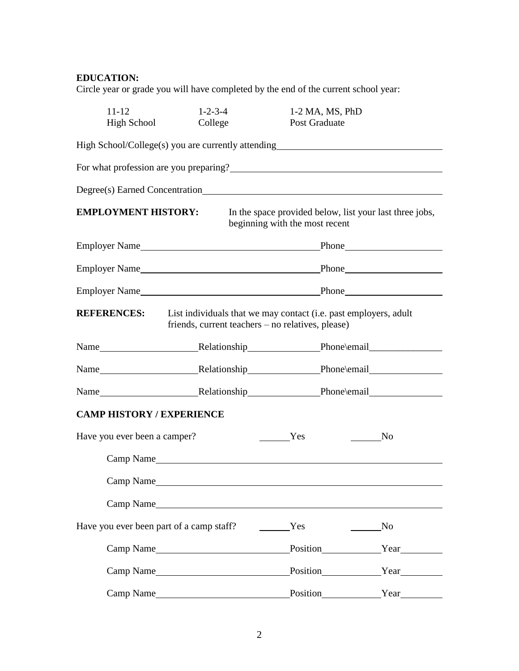## **EDUCATION:**

Circle year or grade you will have completed by the end of the current school year:

| $11 - 12$<br><b>High School</b>          | $1 - 2 - 3 - 4$<br>College                                                                                            | 1-2 MA, MS, PhD<br>Post Graduate                                                          |                |
|------------------------------------------|-----------------------------------------------------------------------------------------------------------------------|-------------------------------------------------------------------------------------------|----------------|
|                                          | High School/College(s) you are currently attending<br>                                                                |                                                                                           |                |
|                                          |                                                                                                                       |                                                                                           |                |
|                                          |                                                                                                                       |                                                                                           |                |
| <b>EMPLOYMENT HISTORY:</b>               |                                                                                                                       | In the space provided below, list your last three jobs,<br>beginning with the most recent |                |
|                                          |                                                                                                                       |                                                                                           |                |
|                                          |                                                                                                                       |                                                                                           |                |
|                                          |                                                                                                                       |                                                                                           |                |
| <b>REFERENCES:</b>                       | List individuals that we may contact (i.e. past employers, adult<br>friends, current teachers - no relatives, please) |                                                                                           |                |
|                                          |                                                                                                                       |                                                                                           |                |
|                                          |                                                                                                                       |                                                                                           |                |
|                                          |                                                                                                                       |                                                                                           |                |
| <b>CAMP HISTORY / EXPERIENCE</b>         |                                                                                                                       |                                                                                           |                |
| Have you ever been a camper?             |                                                                                                                       | Yes                                                                                       | No             |
|                                          |                                                                                                                       |                                                                                           |                |
| Camp Name                                |                                                                                                                       |                                                                                           |                |
|                                          | Camp Name                                                                                                             |                                                                                           |                |
| Have you ever been part of a camp staff? |                                                                                                                       | Yes                                                                                       | N <sub>0</sub> |
|                                          |                                                                                                                       |                                                                                           |                |
|                                          |                                                                                                                       |                                                                                           |                |
|                                          |                                                                                                                       |                                                                                           | Position Year  |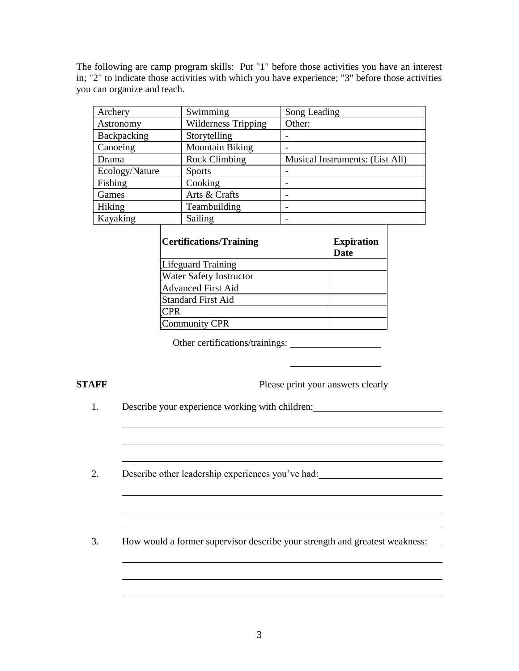The following are camp program skills: Put "1" before those activities you have an interest in; "2" to indicate those activities with which you have experience; "3" before those activities you can organize and teach.

| Archery        | Swimming                   | Song Leading                    |
|----------------|----------------------------|---------------------------------|
| Astronomy      | <b>Wilderness Tripping</b> | Other:                          |
| Backpacking    | Storytelling               |                                 |
| Canoeing       | <b>Mountain Biking</b>     |                                 |
| Drama          | <b>Rock Climbing</b>       | Musical Instruments: (List All) |
| Ecology/Nature | <b>Sports</b>              |                                 |
| Fishing        | Cooking                    |                                 |
| Games          | Arts & Crafts              | ۰                               |
| Hiking         | Teambuilding               |                                 |
| Kayaking       | Sailing                    | -                               |
|                |                            |                                 |

| <b>Certifications/Training</b> | <b>Expiration</b><br><b>Date</b> |
|--------------------------------|----------------------------------|
| <b>Lifeguard Training</b>      |                                  |
| <b>Water Safety Instructor</b> |                                  |
| <b>Advanced First Aid</b>      |                                  |
| <b>Standard First Aid</b>      |                                  |
| CPR                            |                                  |
| <b>Community CPR</b>           |                                  |

Other certifications/trainings:

**STAFF** Please print your answers clearly

1. Describe your experience working with children:

2. Describe other leadership experiences you've had:

3. How would a former supervisor describe your strength and greatest weakness:

<u> 1989 - Johann Stoff, deutscher Stoffen und der Stoffen und der Stoffen und der Stoffen und der Stoffen und de</u>